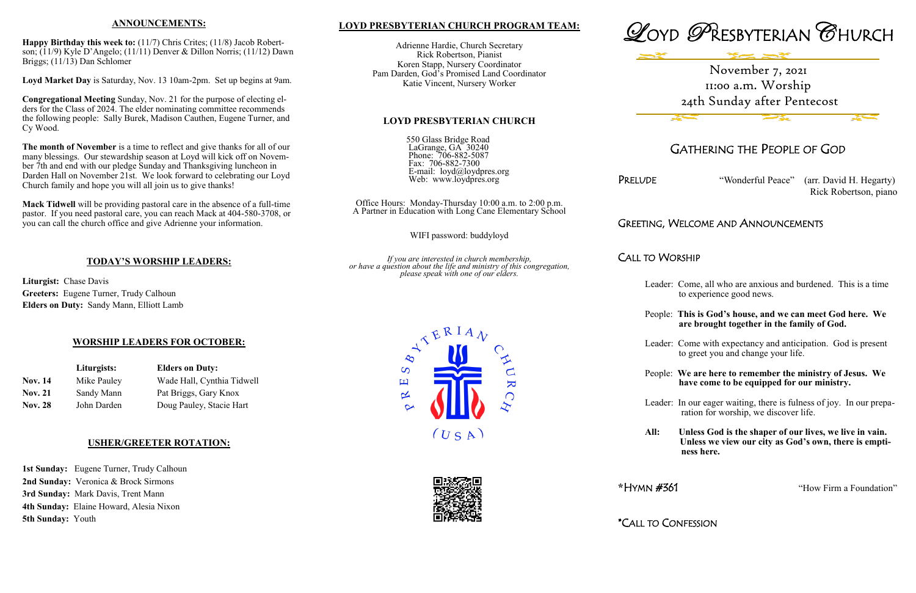## **LOYD PRESBYTERIAN CHURCH PROGRAM TEAM:**

Adrienne Hardie, Church Secretary Rick Robertson, Pianist Koren Stapp, Nursery Coordinator Pam Darden, God's Promised Land Coordinator Katie Vincent, Nursery Worker

#### **LOYD PRESBYTERIAN CHURCH**

550 Glass Bridge Road LaGrange, GA 30240 Phone: 706-882-5087 Fax: 706-882-7300 E-mail: loyd@loydpres.org Web: www.loydpres.org

PRELUDE "Wonderful Peace" (arr. David H. Hegarty) Rick Robertson, piano

Office Hours: Monday-Thursday 10:00 a.m. to 2:00 p.m. A Partner in Education with Long Cane Elementary School

WIFI password: buddyloyd

*If you are interested in church membership, or have a question about the life and ministry of this congregation, please speak with one of our elders.*

> $\overline{S}$ 凹

> > $\propto$

 $(U S A)$ 

 $\overline{\mathbf{K}}$ 



## GATHERING THE PEOPLE OF GOD

## GREETING, WELCOME AND ANNOUNCEMENTS

## CALL TO WORSHIP

- Leader: Come, all who are anxious and burdened. This is a time to experience good news.
- People: **This is God's house, and we can meet God here. We are brought together in the family of God.**
- Leader: Come with expectancy and anticipation. God is present to greet you and change your life.
- People: **We are here to remember the ministry of Jesus. We have come to be equipped for our ministry.**
- Leader: In our eager waiting, there is fulness of joy. In our prepa ration for worship, we discover life.
- **All: Unless God is the shaper of our lives, we live in vain. Unless we view our city as God's own, there is empti ness here.**

\*HYMN #361 "How Firm a Foundation"

\*CALL TO CONFESSION

1st Sunday: Eugene Turner, Trudy Calhoun **2nd Sunday:** Veronica & Brock Sirmons **3rd Sunday:** Mark Davis, Trent Mann **4th Sunday:** Elaine Howard, Alesia Nixon **5th Sunday:** Youth

### **ANNOUNCEMENTS:**

**Happy Birthday this week to:** (11/7) Chris Crites; (11/8) Jacob Robertson; (11/9) Kyle D'Angelo; (11/11) Denver & Dillon Norris; (11/12) Dawn Briggs; (11/13) Dan Schlomer

**Loyd Market Day** is Saturday, Nov. 13 10am-2pm. Set up begins at 9am.

**Congregational Meeting** Sunday, Nov. 21 for the purpose of electing elders for the Class of 2024. The elder nominating committee recommends the following people: Sally Burek, Madison Cauthen, Eugene Turner, and Cy Wood.

**The month of November** is a time to reflect and give thanks for all of our many blessings. Our stewardship season at Loyd will kick off on November 7th and end with our pledge Sunday and Thanksgiving luncheon in Darden Hall on November 21st. We look forward to celebrating our Loyd Church family and hope you will all join us to give thanks!

**Mack Tidwell** will be providing pastoral care in the absence of a full-time pastor. If you need pastoral care, you can reach Mack at 404-580-3708, or you can call the church office and give Adrienne your information.

## **TODAY'S WORSHIP LEADERS:**

**Liturgist:** Chase Davis **Greeters:** Eugene Turner, Trudy Calhoun **Elders on Duty:** Sandy Mann, Elliott Lamb

## **WORSHIP LEADERS FOR OCTOBER:**

|                | Liturgists: | <b>Elders on Duty:</b><br>Wade Hall, Cynthia Tidwell |  |  |
|----------------|-------------|------------------------------------------------------|--|--|
| <b>Nov. 14</b> | Mike Pauley |                                                      |  |  |
| <b>Nov. 21</b> | Sandy Mann  | Pat Briggs, Gary Knox                                |  |  |
| <b>Nov. 28</b> | John Darden | Doug Pauley, Stacie Hart                             |  |  |

## **USHER/GREETER ROTATION:**

# November 7, 2021 11:00 a.m. Worship 24th Sunday after Pentecost